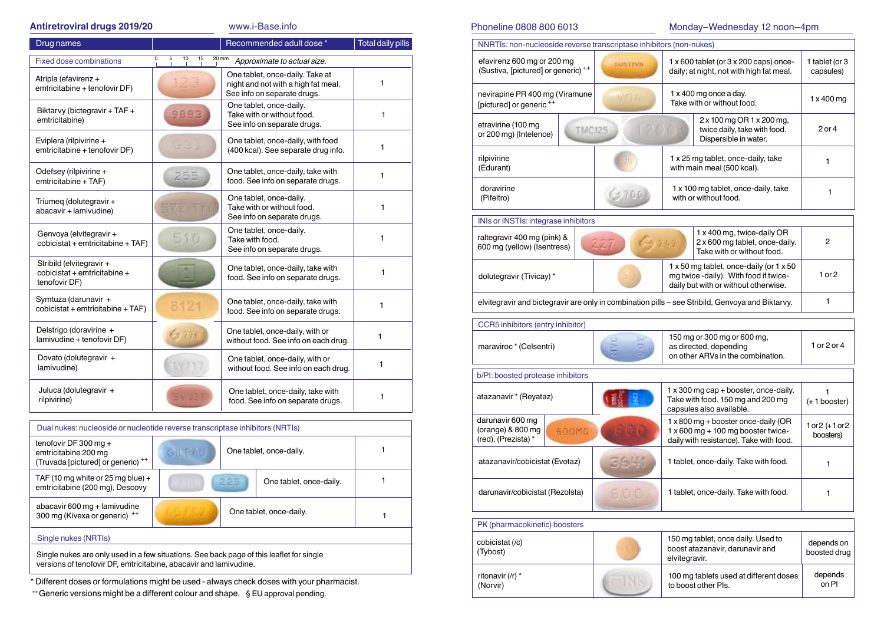### **Antiretroviral drugs 2019/20** www.i-Base.info

| Drug names                                                                |                                                            | Recommended adult dose *                                                                              | <b>Total daily pills</b> |  |  |
|---------------------------------------------------------------------------|------------------------------------------------------------|-------------------------------------------------------------------------------------------------------|--------------------------|--|--|
| <b>Fixed dose combinations</b>                                            | 0<br>5<br>10<br>15<br>20 mm<br>Approximate to actual size. |                                                                                                       |                          |  |  |
| Atripla (efavirenz +<br>emtricitabine + tenofovir DF)                     |                                                            | One tablet, once-daily. Take at<br>night and not with a high fat meal.<br>See info on separate drugs. | 1                        |  |  |
| Biktarvy (bictegravir + TAF +<br>emtricitabine)                           | 9883                                                       | One tablet, once-daily.<br>Take with or without food.<br>See info on separate drugs.                  | 1                        |  |  |
| Eviplera (rilpivirine +<br>emtricitabine + tenofovir DF)                  |                                                            | One tablet, once-daily, with food<br>(400 kcal). See separate drug info.                              | 1                        |  |  |
| Odefsey (rilpivirine +<br>emtricitabine + TAF)                            | 255                                                        | One tablet, once-daily, take with<br>food. See info on separate drugs.                                | 1                        |  |  |
| Triumeg (dolutegravir +<br>abacavir + lamivudine)                         |                                                            | One tablet, once-daily.<br>Take with or without food.<br>See info on separate drugs.                  | 1                        |  |  |
| Genvoya (elvitegravir +<br>$cobi$ cistat + emtricitabine + TAF)           | 510                                                        | One tablet, once-daily.<br>Take with food.<br>See info on separate drugs.                             | 1                        |  |  |
| Stribild (elvitegravir +<br>cobicistat + emtricitabine +<br>tenofovir DF) |                                                            | One tablet, once-daily, take with<br>food. See info on separate drugs.                                | 1                        |  |  |
| Symtuza (darunavir +<br>cobicistat + emtricitabine + TAF)                 | 8121                                                       | One tablet, once-daily, take with<br>food. See info on separate drugs.                                | 1                        |  |  |
| Delstrigo (doravirine +<br>lamivudine + tenofovir DF)                     | G11                                                        | One tablet, once-daily, with or<br>without food. See info on each drug.                               | 1                        |  |  |
| Dovato (dolutegravir +<br>lamivudine)                                     |                                                            | One tablet, once-daily, with or<br>without food. See info on each drug.                               | 1                        |  |  |
| Juluca (dolutegravir +<br>rilpivirine)                                    |                                                            | One tablet, once-daily, take with<br>food. See info on separate drugs.                                | 1                        |  |  |

| Dual nukes: nucleoside or nucleotide reverse transcriptase inhibitors (NRTIs)            |                                          |     |                         |  |  |
|------------------------------------------------------------------------------------------|------------------------------------------|-----|-------------------------|--|--|
| tenofovir DF 300 mg +<br>emtricitabine 200 mg<br>(Truvada [pictured] or generic) ++      | <b>BILEAD</b><br>One tablet, once-daily. |     |                         |  |  |
| TAF (10 mg white or 25 mg blue) +<br>emtricitabine (200 mg), Descovy                     |                                          | 225 | One tablet, once-daily. |  |  |
| abacavir 600 mg + lamivudine<br>300 mg (Kivexa or generic) ++                            |                                          |     | One tablet, once-daily. |  |  |
| Single nukes (NRTIs)                                                                     |                                          |     |                         |  |  |
| Single nukes are only used in a few situations. See back page of this leaflet for single |                                          |     |                         |  |  |

versions of tenofovir DF, emtricitabine, abacavir and lamivudine.

\* Different doses or formulations might be used - always check doses with your pharmacist.

++ Generic versions might be a different colour and shape. § EU approval pending.

Phoneline 0808 800 6013 Monday–Wednesday 12 noon–4pm

| NNRTIs: non-nucleoside reverse transcriptase inhibitors (non-nukes)                              |                |                                                                                                  |                                                                                                                          |                                  |
|--------------------------------------------------------------------------------------------------|----------------|--------------------------------------------------------------------------------------------------|--------------------------------------------------------------------------------------------------------------------------|----------------------------------|
| efavirenz 600 mg or 200 mg<br>(Sustiva, [pictured] or generic) ++                                | <b>SUSTIVA</b> | $1 \times 600$ tablet (or $3 \times 200$ caps) once-<br>daily; at night, not with high fat meal. |                                                                                                                          | 1 tablet (or 3<br>capsules)      |
| nevirapine PR 400 mg (Viramune<br>[pictured] or generic ++                                       |                | 1 x 400 mg once a day.<br>Take with or without food.                                             |                                                                                                                          | 1 x 400 mg                       |
| etravirine (100 mg<br><b>TMC125</b><br>or 200 mg) (Intelence)                                    |                |                                                                                                  | 2 x 100 mg OR 1 x 200 mg,<br>twice daily, take with food.<br>Dispersible in water.                                       | 2 or 4                           |
| rilpivirine<br>(Edurant)                                                                         |                |                                                                                                  | 1 x 25 mg tablet, once-daily, take<br>with main meal (500 kcal).                                                         | 1                                |
| doravirine<br>(Pifeltro)                                                                         |                |                                                                                                  | 1 x 100 mg tablet, once-daily, take<br>with or without food.                                                             | 1                                |
| INIs or INSTIs: integrase inhibitors                                                             |                |                                                                                                  |                                                                                                                          |                                  |
| raltegravir 400 mg (pink) &<br>600 mg (yellow) (Isentress)                                       | $-242$<br>141  |                                                                                                  | 1 x 400 mg, twice-daily OR<br>2 x 600 mg tablet, once-daily.<br>Take with or without food.                               | 2                                |
| dolutegravir (Tivicay) *                                                                         |                |                                                                                                  | 1 x 50 mg tablet, once-daily (or 1 x 50<br>mg twice -daily). With food if twice-<br>daily but with or without otherwise. | 1 or 2                           |
| elvitegravir and bictegravir are only in combination pills - see Stribild, Genvoya and Biktarvy. |                |                                                                                                  |                                                                                                                          | 1                                |
| CCR5 inhibitors (entry inhibitor)                                                                |                |                                                                                                  |                                                                                                                          |                                  |
| maraviroc * (Celsentri)                                                                          |                |                                                                                                  | 150 mg or 300 mg or 600 mg,<br>as directed, depending<br>on other ARVs in the combination.                               | 1 or 2 or 4                      |
| b/PI: boosted protease inhibitors                                                                |                |                                                                                                  |                                                                                                                          |                                  |
| atazanavir * (Reyataz)                                                                           |                |                                                                                                  | 1 x 300 mg cap + booster, once-daily.<br>Take with food. 150 mg and 200 mg<br>capsules also available.                   | $(+ 1$ booster)                  |
| darunavir 600 mg<br>(orange) & 800 mg<br>600MG<br>(red), (Prezista) *                            |                |                                                                                                  | 1 x 800 mg + booster once-daily (OR<br>1 x 600 mg + 100 mg booster twice-<br>daily with resistance). Take with food.     | $1 or 2 (+ 1 or 2)$<br>boosters) |
| atazanavir/cobicistat (Evotaz)                                                                   | 364            |                                                                                                  | 1 tablet, once-daily. Take with food.                                                                                    | 1                                |
| darunavir/cobicistat (Rezolsta)                                                                  | 810 O          |                                                                                                  | 1 tablet, once-daily. Take with food.                                                                                    | 1                                |
| PK (pharmacokinetic) boosters                                                                    |                |                                                                                                  |                                                                                                                          |                                  |
| cobicistat (/c)<br>(Tybost)                                                                      |                | elvitegravir.                                                                                    | 150 mg tablet, once daily. Used to<br>boost atazanavir, darunavir and                                                    | depends on<br>boosted drug       |
| ritonavir (/r) *<br>(Norvir)                                                                     |                |                                                                                                  | 100 mg tablets used at different doses<br>to boost other PIs.                                                            | depends<br>on PI                 |